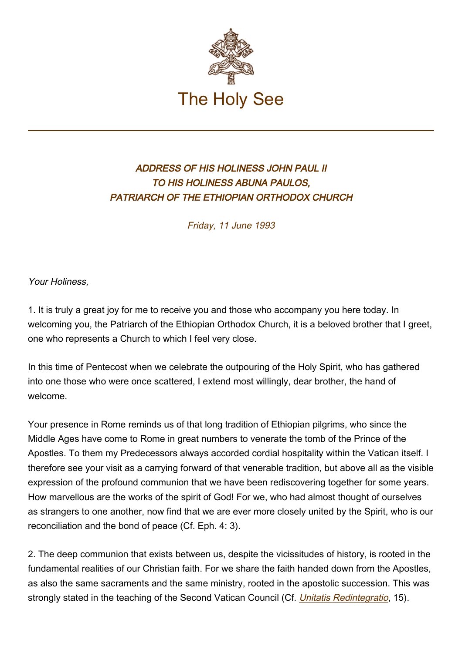

## ADDRESS OF HIS HOLINESS JOHN PAUL II TO HIS HOLINESS ABUNA PAULOS, PATRIARCH OF THE ETHIOPIAN ORTHODOX CHURCH

Friday, 11 June 1993

Your Holiness,

1. It is truly a great joy for me to receive you and those who accompany you here today. In welcoming you, the Patriarch of the Ethiopian Orthodox Church, it is a beloved brother that I greet, one who represents a Church to which I feel very close.

In this time of Pentecost when we celebrate the outpouring of the Holy Spirit, who has gathered into one those who were once scattered, I extend most willingly, dear brother, the hand of welcome.

Your presence in Rome reminds us of that long tradition of Ethiopian pilgrims, who since the Middle Ages have come to Rome in great numbers to venerate the tomb of the Prince of the Apostles. To them my Predecessors always accorded cordial hospitality within the Vatican itself. I therefore see your visit as a carrying forward of that venerable tradition, but above all as the visible expression of the profound communion that we have been rediscovering together for some years. How marvellous are the works of the spirit of God! For we, who had almost thought of ourselves as strangers to one another, now find that we are ever more closely united by the Spirit, who is our reconciliation and the bond of peace (Cf. Eph. 4: 3).

2. The deep communion that exists between us, despite the vicissitudes of history, is rooted in the fundamental realities of our Christian faith. For we share the faith handed down from the Apostles, as also the same sacraments and the same ministry, rooted in the apostolic succession. This was strongly stated in the teaching of the Second Vatican Council (Cf. [Unitatis Redintegratio](http://localhost/archive/hist_councils/ii_vatican_council/documents/vat-ii_decree_19641121_unitatis-redintegratio_en.html), 15).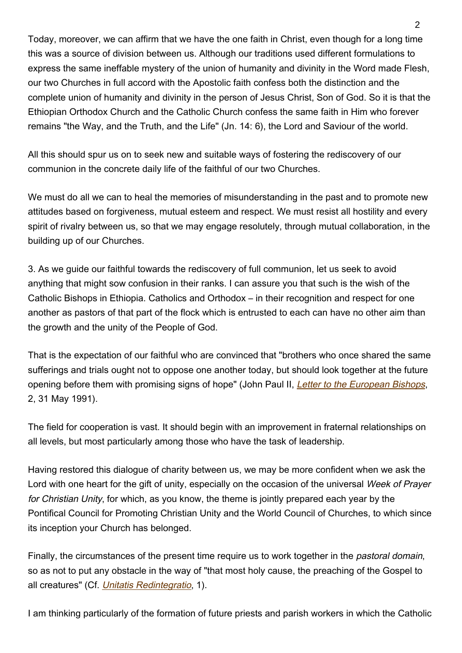Today, moreover, we can affirm that we have the one faith in Christ, even though for a long time this was a source of division between us. Although our traditions used different formulations to express the same ineffable mystery of the union of humanity and divinity in the Word made Flesh, our two Churches in full accord with the Apostolic faith confess both the distinction and the complete union of humanity and divinity in the person of Jesus Christ, Son of God. So it is that the Ethiopian Orthodox Church and the Catholic Church confess the same faith in Him who forever remains "the Way, and the Truth, and the Life" (Jn. 14: 6), the Lord and Saviour of the world.

All this should spur us on to seek new and suitable ways of fostering the rediscovery of our communion in the concrete daily life of the faithful of our two Churches.

We must do all we can to heal the memories of misunderstanding in the past and to promote new attitudes based on forgiveness, mutual esteem and respect. We must resist all hostility and every spirit of rivalry between us, so that we may engage resolutely, through mutual collaboration, in the building up of our Churches.

3. As we guide our faithful towards the rediscovery of full communion, let us seek to avoid anything that might sow confusion in their ranks. I can assure you that such is the wish of the Catholic Bishops in Ethiopia. Catholics and Orthodox – in their recognition and respect for one another as pastors of that part of the flock which is entrusted to each can have no other aim than the growth and the unity of the People of God.

That is the expectation of our faithful who are convinced that "brothers who once shared the same sufferings and trials ought not to oppose one another today, but should look together at the future opening before them with promising signs of hope" (John Paul II, [Letter to the European Bishops](http://www.vatican.va/holy_father/john_paul_ii/letters/documents/hf_jp-ii_let_19910531_relationships-catholics-orthodox_en.html), 2, 31 May 1991).

The field for cooperation is vast. It should begin with an improvement in fraternal relationships on all levels, but most particularly among those who have the task of leadership.

Having restored this dialogue of charity between us, we may be more confident when we ask the Lord with one heart for the gift of unity, especially on the occasion of the universal Week of Prayer for Christian Unity, for which, as you know, the theme is jointly prepared each year by the Pontifical Council for Promoting Christian Unity and the World Council of Churches, to which since its inception your Church has belonged.

Finally, the circumstances of the present time require us to work together in the pastoral domain, so as not to put any obstacle in the way of "that most holy cause, the preaching of the Gospel to all creatures" (Cf. [Unitatis Redintegratio](http://localhost/archive/hist_councils/ii_vatican_council/documents/vat-ii_decree_19641121_unitatis-redintegratio_en.html), 1).

I am thinking particularly of the formation of future priests and parish workers in which the Catholic